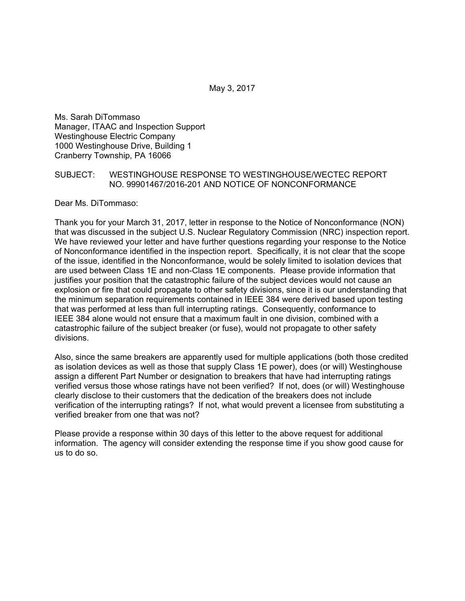May 3, 2017

Ms. Sarah DiTommaso Manager, ITAAC and Inspection Support Westinghouse Electric Company 1000 Westinghouse Drive, Building 1 Cranberry Township, PA 16066

## SUBJECT: WESTINGHOUSE RESPONSE TO WESTINGHOUSE/WECTEC REPORT NO. 99901467/2016-201 AND NOTICE OF NONCONFORMANCE

Dear Ms. DiTommaso:

Thank you for your March 31, 2017, letter in response to the Notice of Nonconformance (NON) that was discussed in the subject U.S. Nuclear Regulatory Commission (NRC) inspection report. We have reviewed your letter and have further questions regarding your response to the Notice of Nonconformance identified in the inspection report. Specifically, it is not clear that the scope of the issue, identified in the Nonconformance, would be solely limited to isolation devices that are used between Class 1E and non-Class 1E components. Please provide information that justifies your position that the catastrophic failure of the subject devices would not cause an explosion or fire that could propagate to other safety divisions, since it is our understanding that the minimum separation requirements contained in IEEE 384 were derived based upon testing that was performed at less than full interrupting ratings. Consequently, conformance to IEEE 384 alone would not ensure that a maximum fault in one division, combined with a catastrophic failure of the subject breaker (or fuse), would not propagate to other safety divisions.

Also, since the same breakers are apparently used for multiple applications (both those credited as isolation devices as well as those that supply Class 1E power), does (or will) Westinghouse assign a different Part Number or designation to breakers that have had interrupting ratings verified versus those whose ratings have not been verified? If not, does (or will) Westinghouse clearly disclose to their customers that the dedication of the breakers does not include verification of the interrupting ratings? If not, what would prevent a licensee from substituting a verified breaker from one that was not?

Please provide a response within 30 days of this letter to the above request for additional information. The agency will consider extending the response time if you show good cause for us to do so.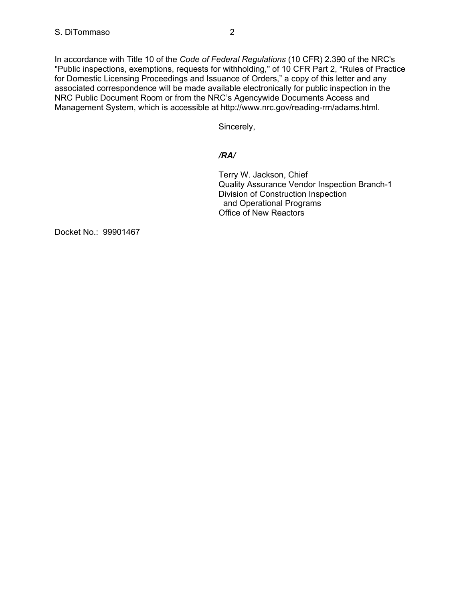In accordance with Title 10 of the *Code of Federal Regulations* (10 CFR) 2.390 of the NRC's "Public inspections, exemptions, requests for withholding," of 10 CFR Part 2, "Rules of Practice for Domestic Licensing Proceedings and Issuance of Orders," a copy of this letter and any associated correspondence will be made available electronically for public inspection in the NRC Public Document Room or from the NRC's Agencywide Documents Access and Management System, which is accessible at http://www.nrc.gov/reading-rm/adams.html.

Sincerely,

## */RA/*

Terry W. Jackson, Chief Quality Assurance Vendor Inspection Branch-1 Division of Construction Inspection and Operational Programs Office of New Reactors

Docket No.: 99901467